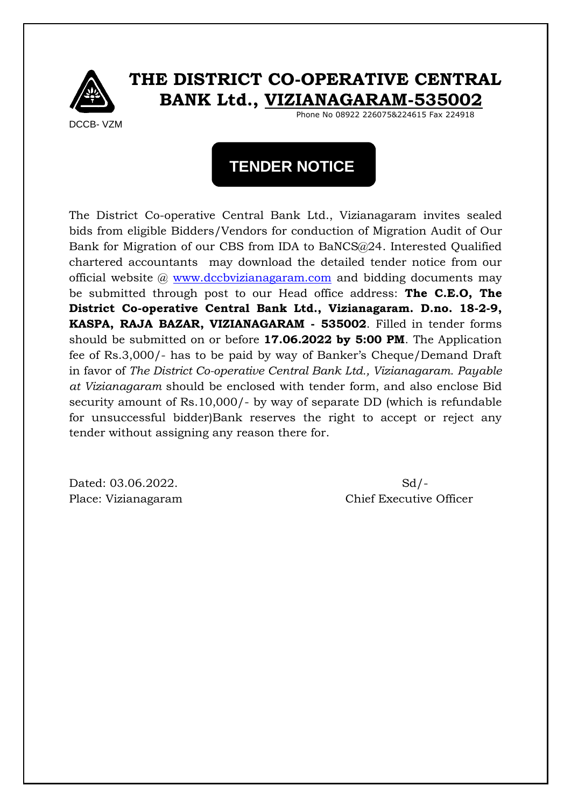

### **THE DISTRICT CO-OPERATIVE CENTRAL BANK Ltd., VIZIANAGARAM-535002**

DCCB- VZM

Phone No 08922 226075&224615 Fax 224918

# **TENDER NOTICE**

The District Co-operative Central Bank Ltd., Vizianagaram invites sealed bids from eligible Bidders/Vendors for conduction of Migration Audit of Our Bank for Migration of our CBS from IDA to BaNCS@24. Interested Qualified chartered accountants may download the detailed tender notice from our official website @ [www.dccbvizianagaram.com](http://www.dccbvizianagaram.com/) and bidding documents may be submitted through post to our Head office address: **The C.E.O, The District Co-operative Central Bank Ltd., Vizianagaram. D.no. 18-2-9, KASPA, RAJA BAZAR, VIZIANAGARAM - 535002**. Filled in tender forms should be submitted on or before **17.06.2022 by 5:00 PM**. The Application fee of Rs.3,000/- has to be paid by way of Banker's Cheque/Demand Draft in favor of *The District Co-operative Central Bank Ltd., Vizianagaram. Payable at Vizianagaram* should be enclosed with tender form, and also enclose Bid security amount of Rs.10,000/- by way of separate DD (which is refundable for unsuccessful bidder)Bank reserves the right to accept or reject any tender without assigning any reason there for.

Dated: 03.06.2022. Sd/-

Place: Vizianagaram Chief Executive Officer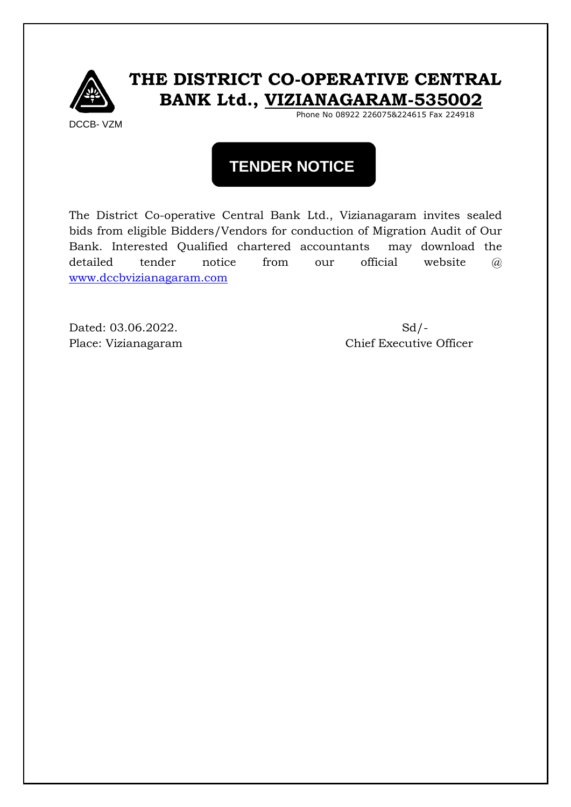

## **THE DISTRICT CO-OPERATIVE CENTRAL BANK Ltd., VIZIANAGARAM-535002**

Phone No 08922 226075&224615 Fax 224918

# **TENDER NOTICE**

The District Co-operative Central Bank Ltd., Vizianagaram invites sealed bids from eligible Bidders/Vendors for conduction of Migration Audit of Our Bank. Interested Qualified chartered accountants may download the detailed tender notice from our official website  $\widehat{a}$ [www.dccbvizianagaram.com](http://www.dccbvizianagaram.com/)

Dated: 03.06.2022. Sd/-

Place: Vizianagaram Chief Executive Officer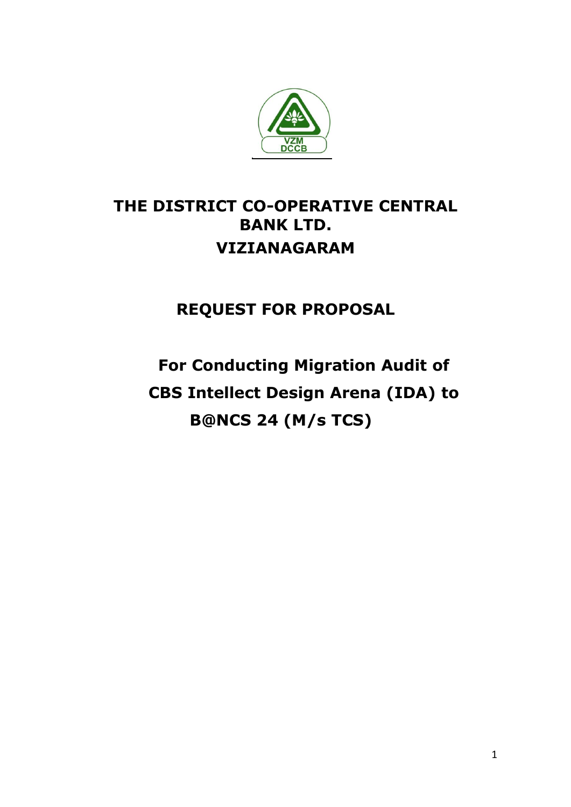

# **THE DISTRICT CO-OPERATIVE CENTRAL BANK LTD. VIZIANAGARAM**

**REQUEST FOR PROPOSAL**

**For Conducting Migration Audit of CBS Intellect Design Arena (IDA) to B@NCS 24 (M/s TCS)**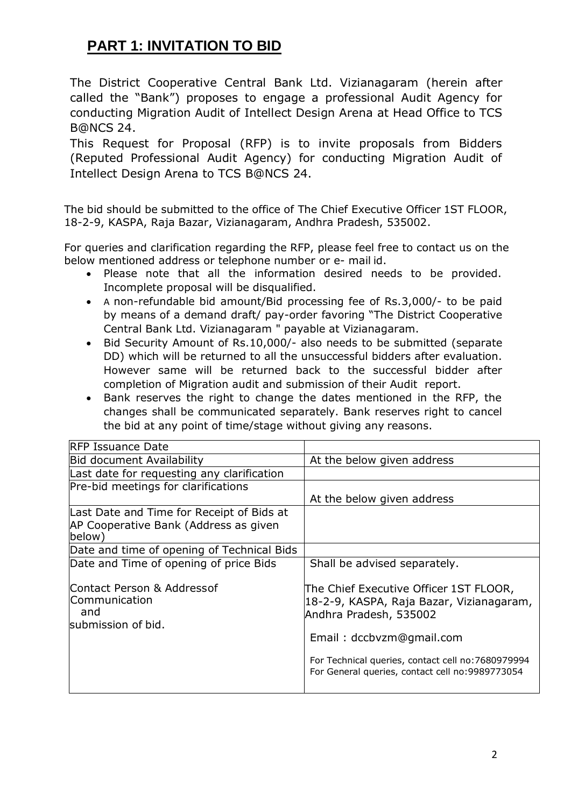### **PART 1: INVITATION TO BID**

The District Cooperative Central Bank Ltd. Vizianagaram (herein after called the "Bank") proposes to engage a professional Audit Agency for conducting Migration Audit of Intellect Design Arena at Head Office to TCS B@NCS 24.

This Request for Proposal (RFP) is to invite proposals from Bidders (Reputed Professional Audit Agency) for conducting Migration Audit of Intellect Design Arena to TCS B@NCS 24.

The bid should be submitted to the office of The Chief Executive Officer 1ST FLOOR, 18-2-9, KASPA, Raja Bazar, Vizianagaram, Andhra Pradesh, 535002.

For queries and clarification regarding the RFP, please feel free to contact us on the below mentioned address or telephone number or e- mail id.

- Please note that all the information desired needs to be provided. Incomplete proposal will be disqualified.
- A non-refundable bid amount/Bid processing fee of Rs.3,000/- to be paid by means of a demand draft/ pay-order favoring "The District Cooperative Central Bank Ltd. Vizianagaram " payable at Vizianagaram.
- Bid Security Amount of Rs.10,000/- also needs to be submitted (separate DD) which will be returned to all the unsuccessful bidders after evaluation. However same will be returned back to the successful bidder after completion of Migration audit and submission of their Audit report.
- Bank reserves the right to change the dates mentioned in the RFP, the changes shall be communicated separately. Bank reserves right to cancel the bid at any point of time/stage without giving any reasons.

| At the below given address                                                                                   |
|--------------------------------------------------------------------------------------------------------------|
|                                                                                                              |
|                                                                                                              |
| At the below given address                                                                                   |
|                                                                                                              |
|                                                                                                              |
| Shall be advised separately.                                                                                 |
| The Chief Executive Officer 1ST FLOOR,<br>18-2-9, KASPA, Raja Bazar, Vizianagaram,<br>Andhra Pradesh, 535002 |
| Email: dccbvzm@gmail.com                                                                                     |
| For Technical queries, contact cell no: 7680979994<br>For General queries, contact cell no:9989773054        |
|                                                                                                              |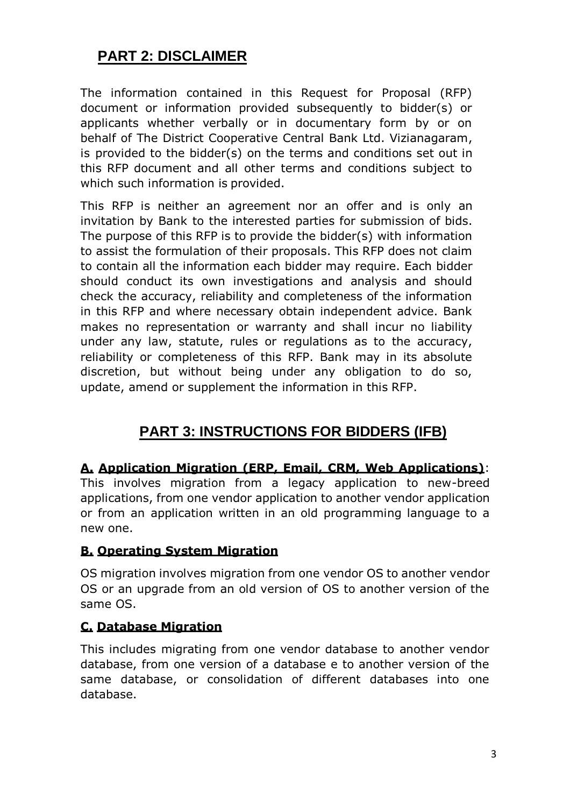### **PART 2: DISCLAIMER**

The information contained in this Request for Proposal (RFP) document or information provided subsequently to bidder(s) or applicants whether verbally or in documentary form by or on behalf of The District Cooperative Central Bank Ltd. Vizianagaram, is provided to the bidder(s) on the terms and conditions set out in this RFP document and all other terms and conditions subject to which such information is provided.

This RFP is neither an agreement nor an offer and is only an invitation by Bank to the interested parties for submission of bids. The purpose of this RFP is to provide the bidder(s) with information to assist the formulation of their proposals. This RFP does not claim to contain all the information each bidder may require. Each bidder should conduct its own investigations and analysis and should check the accuracy, reliability and completeness of the information in this RFP and where necessary obtain independent advice. Bank makes no representation or warranty and shall incur no liability under any law, statute, rules or regulations as to the accuracy, reliability or completeness of this RFP. Bank may in its absolute discretion, but without being under any obligation to do so, update, amend or supplement the information in this RFP.

### **PART 3: INSTRUCTIONS FOR BIDDERS (IFB)**

### **A. Application Migration (ERP, Email, CRM, Web Applications)**:

This involves migration from a legacy application to new-breed applications, from one vendor application to another vendor application or from an application written in an old programming language to a new one.

### **B. Operating System Migration**

OS migration involves migration from one vendor OS to another vendor OS or an upgrade from an old version of OS to another version of the same OS.

### **C. Database Migration**

This includes migrating from one vendor database to another vendor database, from one version of a database e to another version of the same database, or consolidation of different databases into one database.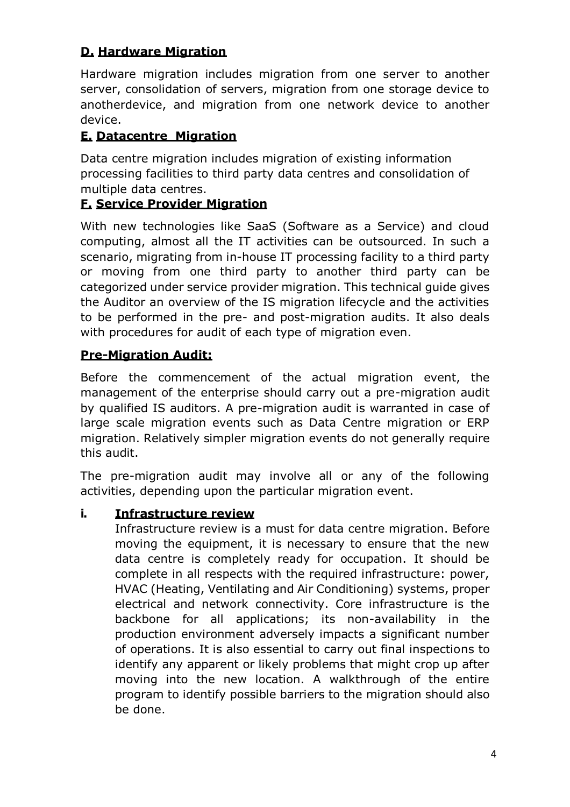### **D. Hardware Migration**

Hardware migration includes migration from one server to another server, consolidation of servers, migration from one storage device to anotherdevice, and migration from one network device to another device.

### **E. Datacentre Migration**

Data centre migration includes migration of existing information processing facilities to third party data centres and consolidation of multiple data centres.

### **F. Service Provider Migration**

With new technologies like SaaS (Software as a Service) and cloud computing, almost all the IT activities can be outsourced. In such a scenario, migrating from in-house IT processing facility to a third party or moving from one third party to another third party can be categorized under service provider migration. This technical guide gives the Auditor an overview of the IS migration lifecycle and the activities to be performed in the pre- and post-migration audits. It also deals with procedures for audit of each type of migration even.

### **Pre-Migration Audit:**

Before the commencement of the actual migration event, the management of the enterprise should carry out a pre-migration audit by qualified IS auditors. A pre-migration audit is warranted in case of large scale migration events such as Data Centre migration or ERP migration. Relatively simpler migration events do not generally require this audit.

The pre-migration audit may involve all or any of the following activities, depending upon the particular migration event.

### **i. Infrastructure review**

Infrastructure review is a must for data centre migration. Before moving the equipment, it is necessary to ensure that the new data centre is completely ready for occupation. It should be complete in all respects with the required infrastructure: power, HVAC (Heating, Ventilating and Air Conditioning) systems, proper electrical and network connectivity. Core infrastructure is the backbone for all applications; its non-availability in the production environment adversely impacts a significant number of operations. It is also essential to carry out final inspections to identify any apparent or likely problems that might crop up after moving into the new location. A walkthrough of the entire program to identify possible barriers to the migration should also be done.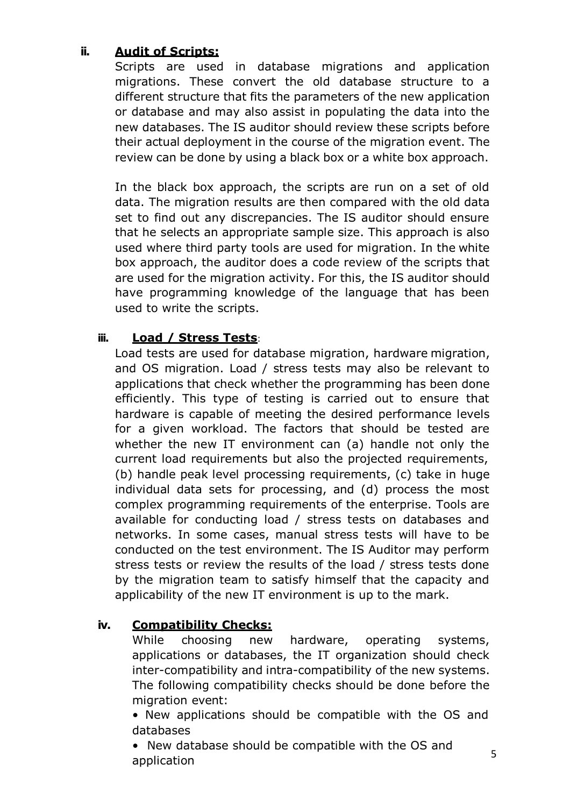### **ii. Audit of Scripts:**

Scripts are used in database migrations and application migrations. These convert the old database structure to a different structure that fits the parameters of the new application or database and may also assist in populating the data into the new databases. The IS auditor should review these scripts before their actual deployment in the course of the migration event. The review can be done by using a black box or a white box approach.

In the black box approach, the scripts are run on a set of old data. The migration results are then compared with the old data set to find out any discrepancies. The IS auditor should ensure that he selects an appropriate sample size. This approach is also used where third party tools are used for migration. In the white box approach, the auditor does a code review of the scripts that are used for the migration activity. For this, the IS auditor should have programming knowledge of the language that has been used to write the scripts.

### **iii. Load / Stress Tests**:

Load tests are used for database migration, hardware migration, and OS migration. Load / stress tests may also be relevant to applications that check whether the programming has been done efficiently. This type of testing is carried out to ensure that hardware is capable of meeting the desired performance levels for a given workload. The factors that should be tested are whether the new IT environment can (a) handle not only the current load requirements but also the projected requirements, (b) handle peak level processing requirements, (c) take in huge individual data sets for processing, and (d) process the most complex programming requirements of the enterprise. Tools are available for conducting load / stress tests on databases and networks. In some cases, manual stress tests will have to be conducted on the test environment. The IS Auditor may perform stress tests or review the results of the load / stress tests done by the migration team to satisfy himself that the capacity and applicability of the new IT environment is up to the mark.

### **iv. Compatibility Checks:**

While choosing new hardware, operating systems, applications or databases, the IT organization should check inter-compatibility and intra-compatibility of the new systems. The following compatibility checks should be done before the migration event:

• New applications should be compatible with the OS and databases

• New database should be compatible with the OS and application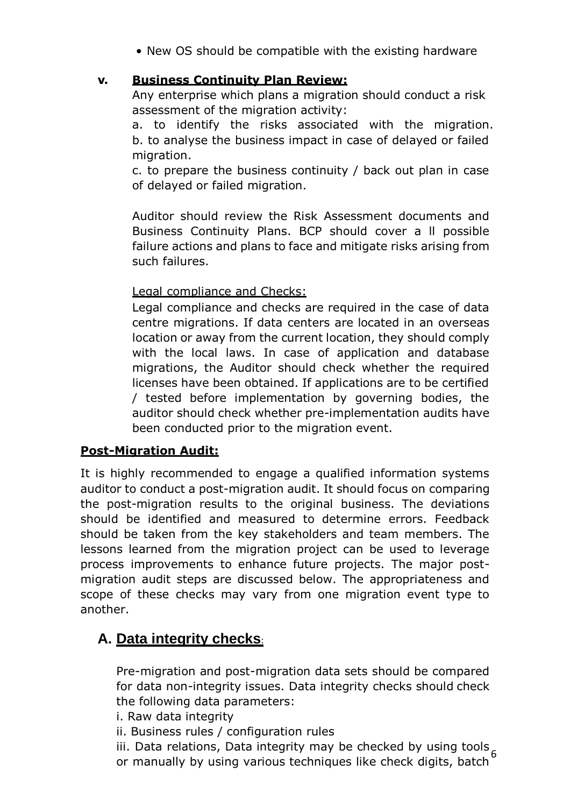• New OS should be compatible with the existing hardware

### **v. Business Continuity Plan Review:**

Any enterprise which plans a migration should conduct a risk assessment of the migration activity:

a. to identify the risks associated with the migration. b. to analyse the business impact in case of delayed or failed migration.

c. to prepare the business continuity / back out plan in case of delayed or failed migration.

Auditor should review the Risk Assessment documents and Business Continuity Plans. BCP should cover a ll possible failure actions and plans to face and mitigate risks arising from such failures.

### Legal compliance and Checks:

Legal compliance and checks are required in the case of data centre migrations. If data centers are located in an overseas location or away from the current location, they should comply with the local laws. In case of application and database migrations, the Auditor should check whether the required licenses have been obtained. If applications are to be certified / tested before implementation by governing bodies, the auditor should check whether pre-implementation audits have been conducted prior to the migration event.

### **Post-Migration Audit:**

It is highly recommended to engage a qualified information systems auditor to conduct a post-migration audit. It should focus on comparing the post-migration results to the original business. The deviations should be identified and measured to determine errors. Feedback should be taken from the key stakeholders and team members. The lessons learned from the migration project can be used to leverage process improvements to enhance future projects. The major postmigration audit steps are discussed below. The appropriateness and scope of these checks may vary from one migration event type to another.

### **A. Data integrity checks**:

Pre-migration and post-migration data sets should be compared for data non-integrity issues. Data integrity checks should check the following data parameters:

- i. Raw data integrity
- ii. Business rules / configuration rules

6 iii. Data relations, Data integrity may be checked by using tools, or manually by using various techniques like check digits, batch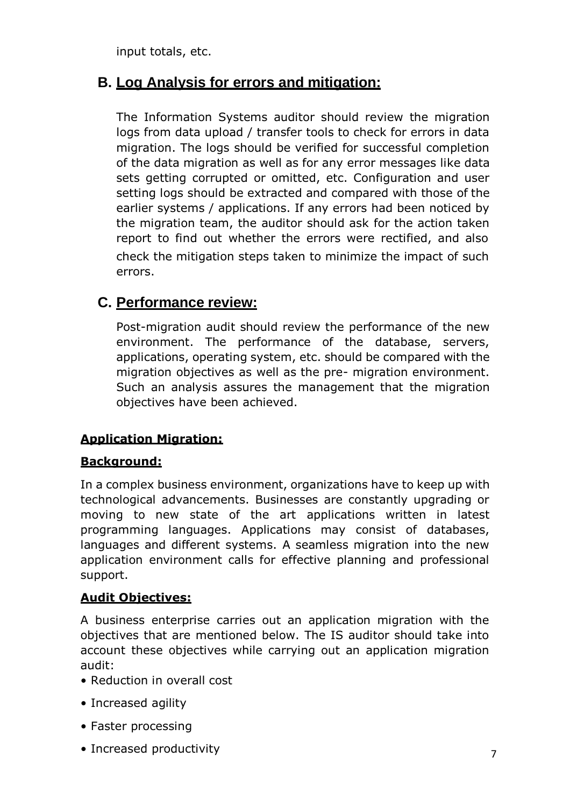input totals, etc.

### **B. Log Analysis for errors and mitigation:**

The Information Systems auditor should review the migration logs from data upload / transfer tools to check for errors in data migration. The logs should be verified for successful completion of the data migration as well as for any error messages like data sets getting corrupted or omitted, etc. Configuration and user setting logs should be extracted and compared with those of the earlier systems / applications. If any errors had been noticed by the migration team, the auditor should ask for the action taken report to find out whether the errors were rectified, and also check the mitigation steps taken to minimize the impact of such errors.

### **C. Performance review:**

Post-migration audit should review the performance of the new environment. The performance of the database, servers, applications, operating system, etc. should be compared with the migration objectives as well as the pre- migration environment. Such an analysis assures the management that the migration objectives have been achieved.

### **Application Migration:**

### **Background:**

In a complex business environment, organizations have to keep up with technological advancements. Businesses are constantly upgrading or moving to new state of the art applications written in latest programming languages. Applications may consist of databases, languages and different systems. A seamless migration into the new application environment calls for effective planning and professional support.

### **Audit Objectives:**

A business enterprise carries out an application migration with the objectives that are mentioned below. The IS auditor should take into account these objectives while carrying out an application migration audit:

- Reduction in overall cost
- Increased agility
- Faster processing
- Increased productivity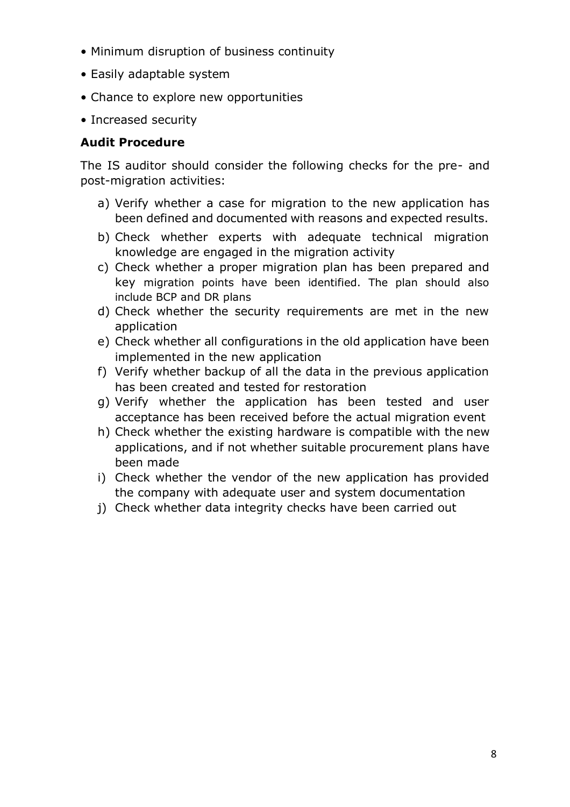- Minimum disruption of business continuity
- Easily adaptable system
- Chance to explore new opportunities
- Increased security

### **Audit Procedure**

The IS auditor should consider the following checks for the pre- and post-migration activities:

- a) Verify whether a case for migration to the new application has been defined and documented with reasons and expected results.
- b) Check whether experts with adequate technical migration knowledge are engaged in the migration activity
- c) Check whether a proper migration plan has been prepared and key migration points have been identified. The plan should also include BCP and DR plans
- d) Check whether the security requirements are met in the new application
- e) Check whether all configurations in the old application have been implemented in the new application
- f) Verify whether backup of all the data in the previous application has been created and tested for restoration
- g) Verify whether the application has been tested and user acceptance has been received before the actual migration event
- h) Check whether the existing hardware is compatible with the new applications, and if not whether suitable procurement plans have been made
- i) Check whether the vendor of the new application has provided the company with adequate user and system documentation
- j) Check whether data integrity checks have been carried out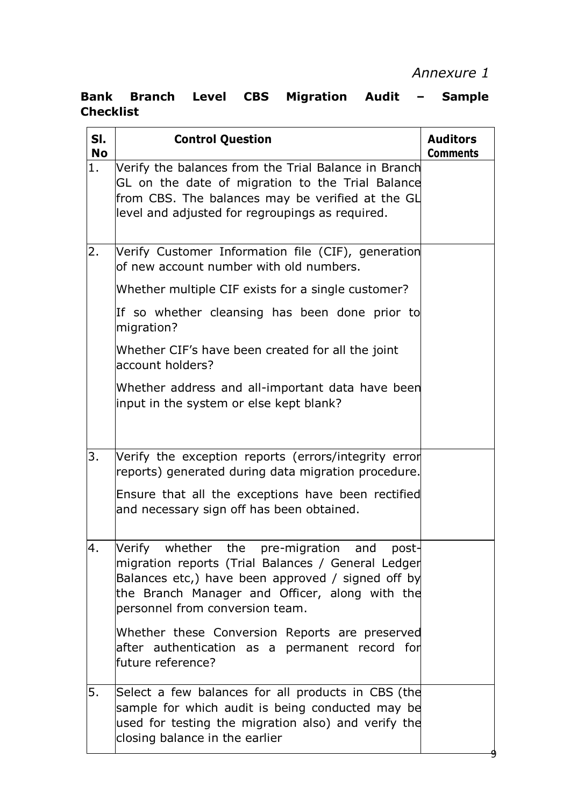### **Bank Branch Level CBS Migration Audit – Sample Checklist**

| SI.<br><b>No</b> | <b>Control Question</b>                                                                                                                                                                                                                                | <b>Auditors</b><br><b>Comments</b> |
|------------------|--------------------------------------------------------------------------------------------------------------------------------------------------------------------------------------------------------------------------------------------------------|------------------------------------|
| 1.               | Verify the balances from the Trial Balance in Branch<br>GL on the date of migration to the Trial Balance<br>from CBS. The balances may be verified at the GL<br>level and adjusted for regroupings as required.                                        |                                    |
| 2.               | Verify Customer Information file (CIF), generation<br>of new account number with old numbers.                                                                                                                                                          |                                    |
|                  | Whether multiple CIF exists for a single customer?                                                                                                                                                                                                     |                                    |
|                  | If so whether cleansing has been done prior to<br>migration?                                                                                                                                                                                           |                                    |
|                  | Whether CIF's have been created for all the joint<br>account holders?                                                                                                                                                                                  |                                    |
|                  | Whether address and all-important data have been<br>input in the system or else kept blank?                                                                                                                                                            |                                    |
| 3.               | Verify the exception reports (errors/integrity error<br>reports) generated during data migration procedure.                                                                                                                                            |                                    |
|                  | Ensure that all the exceptions have been rectified<br>and necessary sign off has been obtained.                                                                                                                                                        |                                    |
| 4.               | Verify whether<br>the<br>pre-migration<br>and<br>post-<br>migration reports (Trial Balances / General Ledger<br>Balances etc,) have been approved / signed off by<br>the Branch Manager and Officer, along with the<br>personnel from conversion team. |                                    |
|                  | Whether these Conversion Reports are preserved<br>after authentication as a permanent record for<br>future reference?                                                                                                                                  |                                    |
| 5.               | Select a few balances for all products in CBS (the<br>sample for which audit is being conducted may be<br>used for testing the migration also) and verify the<br>closing balance in the earlier                                                        |                                    |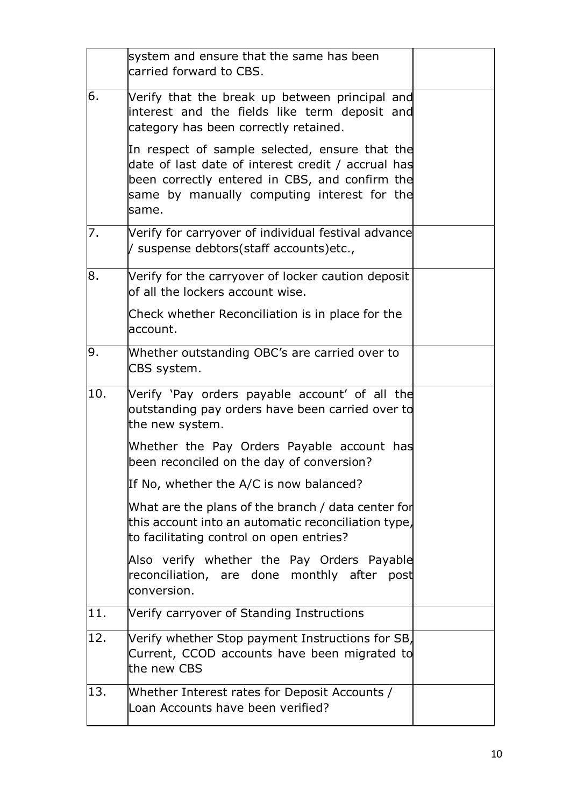|     | system and ensure that the same has been<br>carried forward to CBS.                                                                                                                                            |  |
|-----|----------------------------------------------------------------------------------------------------------------------------------------------------------------------------------------------------------------|--|
| 6.  | Verify that the break up between principal and<br>interest and the fields like term deposit and<br>category has been correctly retained.                                                                       |  |
|     | In respect of sample selected, ensure that the<br>date of last date of interest credit / accrual has<br>been correctly entered in CBS, and confirm the<br>same by manually computing interest for the<br>same. |  |
| 7.  | Verify for carryover of individual festival advance<br>/ suspense debtors(staff accounts)etc.,                                                                                                                 |  |
| 8.  | Verify for the carryover of locker caution deposit<br>of all the lockers account wise.                                                                                                                         |  |
|     | Check whether Reconciliation is in place for the<br>account.                                                                                                                                                   |  |
| 9.  | Whether outstanding OBC's are carried over to<br>CBS system.                                                                                                                                                   |  |
| 10. | Verify 'Pay orders payable account' of all the<br>outstanding pay orders have been carried over to<br>the new system.                                                                                          |  |
|     | Whether the Pay Orders Payable account has<br>been reconciled on the day of conversion?                                                                                                                        |  |
|     | If No, whether the A/C is now balanced?                                                                                                                                                                        |  |
|     | What are the plans of the branch / data center for<br>this account into an automatic reconciliation type,<br>to facilitating control on open entries?                                                          |  |
|     | Also verify whether the Pay Orders Payable<br>reconciliation, are done monthly after post<br>conversion.                                                                                                       |  |
| 11. | Verify carryover of Standing Instructions                                                                                                                                                                      |  |
| 12. | Verify whether Stop payment Instructions for SB,<br>Current, CCOD accounts have been migrated to<br>the new CBS                                                                                                |  |
| 13. | Whether Interest rates for Deposit Accounts /<br>Loan Accounts have been verified?                                                                                                                             |  |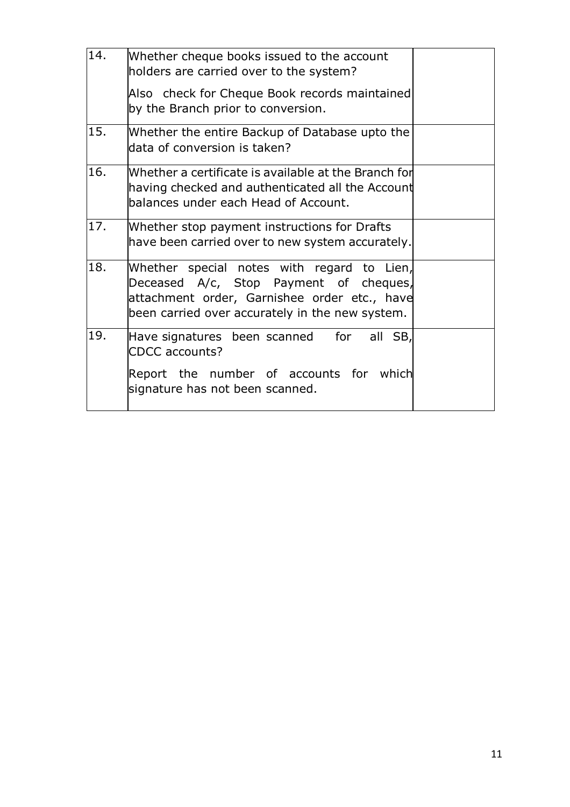| 14. | Whether cheque books issued to the account<br>holders are carried over to the system?                                                                                                   |  |
|-----|-----------------------------------------------------------------------------------------------------------------------------------------------------------------------------------------|--|
|     | Also check for Cheque Book records maintained<br>by the Branch prior to conversion.                                                                                                     |  |
| 15. | Whether the entire Backup of Database upto the<br>data of conversion is taken?                                                                                                          |  |
| 16. | Whether a certificate is available at the Branch for<br>having checked and authenticated all the Account<br>balances under each Head of Account.                                        |  |
| 17. | Whether stop payment instructions for Drafts<br>have been carried over to new system accurately.                                                                                        |  |
| 18. | Whether special notes with regard to Lien,<br>Deceased A/c, Stop Payment of cheques,<br>attachment order, Garnishee order etc., have<br>been carried over accurately in the new system. |  |
| 19. | Have signatures been scanned for<br>all SB,<br><b>CDCC</b> accounts?                                                                                                                    |  |
|     | Report the number of accounts for which<br>signature has not been scanned.                                                                                                              |  |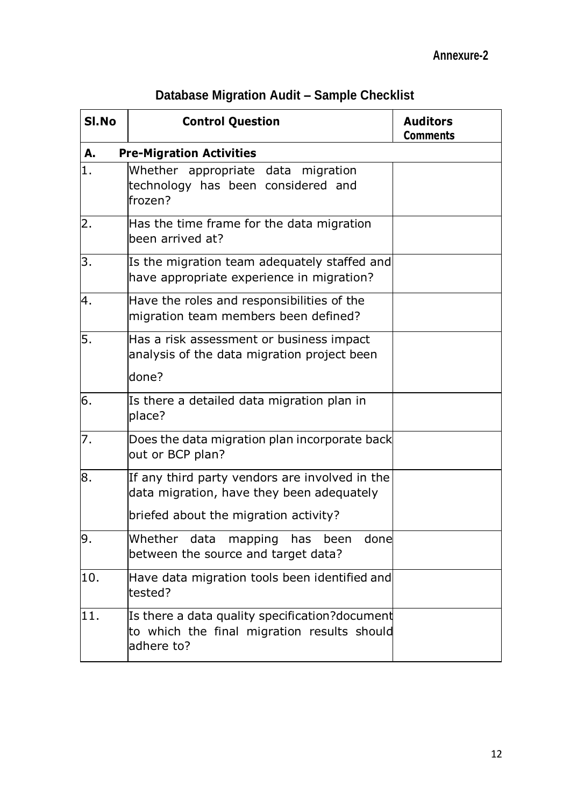|  | Database Migration Audit - Sample Checklist |  |  |  |
|--|---------------------------------------------|--|--|--|
|--|---------------------------------------------|--|--|--|

| SI.No | <b>Control Question</b>                                                                                     | <b>Auditors</b><br><b>Comments</b> |  |  |
|-------|-------------------------------------------------------------------------------------------------------------|------------------------------------|--|--|
| А.    | <b>Pre-Migration Activities</b>                                                                             |                                    |  |  |
| 1.    | Whether appropriate data migration<br>technology has been considered and<br>frozen?                         |                                    |  |  |
| 2.    | Has the time frame for the data migration<br>been arrived at?                                               |                                    |  |  |
| 3.    | Is the migration team adequately staffed and<br>have appropriate experience in migration?                   |                                    |  |  |
| 4.    | Have the roles and responsibilities of the<br>migration team members been defined?                          |                                    |  |  |
| 5.    | Has a risk assessment or business impact<br>analysis of the data migration project been                     |                                    |  |  |
|       | done?                                                                                                       |                                    |  |  |
| 6.    | Is there a detailed data migration plan in<br>place?                                                        |                                    |  |  |
| 7.    | Does the data migration plan incorporate back<br>out or BCP plan?                                           |                                    |  |  |
| 8.    | If any third party vendors are involved in the<br>data migration, have they been adequately                 |                                    |  |  |
|       | briefed about the migration activity?                                                                       |                                    |  |  |
| 9.    | Whether data mapping has been done<br>between the source and target data?                                   |                                    |  |  |
| 10.   | Have data migration tools been identified and<br>tested?                                                    |                                    |  |  |
| 11.   | Is there a data quality specification?document<br>to which the final migration results should<br>adhere to? |                                    |  |  |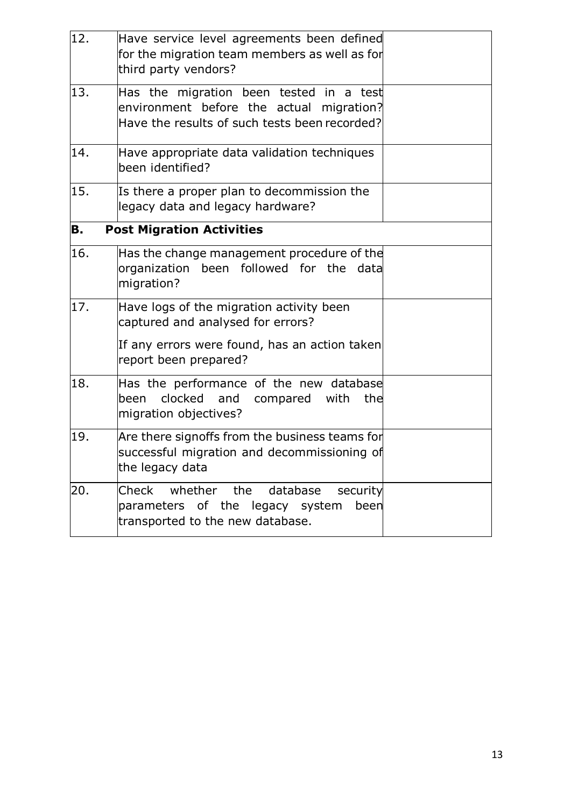| 12. | Have service level agreements been defined<br>for the migration team members as well as for<br>third party vendors?                  |  |
|-----|--------------------------------------------------------------------------------------------------------------------------------------|--|
| 13. | Has the migration been tested in a test<br>environment before the actual migration?<br>Have the results of such tests been recorded? |  |
| 14. | Have appropriate data validation techniques<br>been identified?                                                                      |  |
| 15. | Is there a proper plan to decommission the<br>legacy data and legacy hardware?                                                       |  |
| В.  | <b>Post Migration Activities</b>                                                                                                     |  |
| 16. | Has the change management procedure of the<br>organization been followed for the data<br>migration?                                  |  |
| 17. | Have logs of the migration activity been<br>captured and analysed for errors?                                                        |  |
|     | If any errors were found, has an action taken<br>report been prepared?                                                               |  |
| 18. | Has the performance of the new database<br>clocked<br>and<br>been<br>compared<br>with<br>the<br>migration objectives?                |  |
| 19. | Are there signoffs from the business teams for<br>successful migration and decommissioning of<br>the legacy data                     |  |
| 20. | Check whether the database<br>security<br>parameters of the legacy system<br>been<br>transported to the new database.                |  |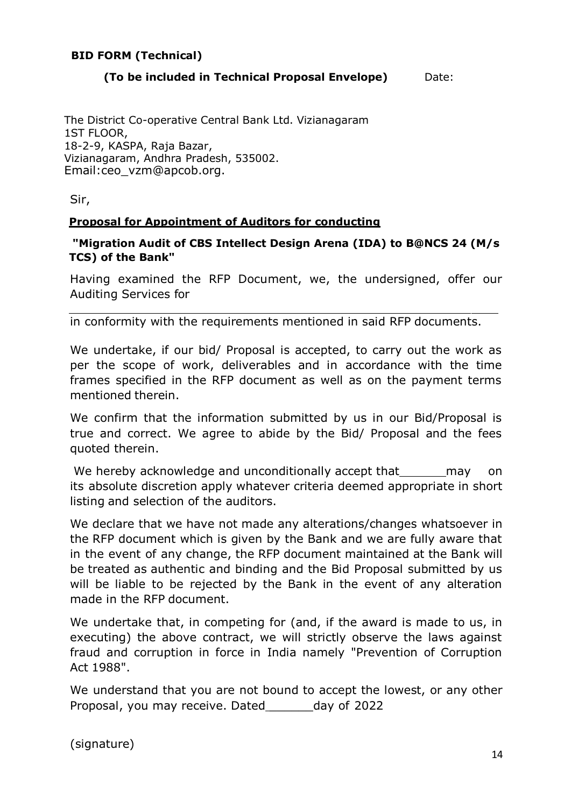#### **BID FORM (Technical)**

#### **(To be included in Technical Proposal Envelope)** Date:

The District Co-operative Central Bank Ltd. Vizianagaram 1ST FLOOR, 18-2-9, KASPA, Raja Bazar, Vizianagaram, Andhra Pradesh, 535002. [Email:ceo\\_vzm@apcob.org.](mailto:dos@apcob.org)

Sir,

#### **Proposal for Appointment of Auditors for conducting**

**"Migration Audit of CBS Intellect Design Arena (IDA) to B@NCS 24 (M/s TCS) of the Bank"**

Having examined the RFP Document, we, the undersigned, offer our Auditing Services for

in conformity with the requirements mentioned in said RFP documents.

We undertake, if our bid/ Proposal is accepted, to carry out the work as per the scope of work, deliverables and in accordance with the time frames specified in the RFP document as well as on the payment terms mentioned therein.

We confirm that the information submitted by us in our Bid/Proposal is true and correct. We agree to abide by the Bid/ Proposal and the fees quoted therein.

We hereby acknowledge and unconditionally accept that may on its absolute discretion apply whatever criteria deemed appropriate in short listing and selection of the auditors.

We declare that we have not made any alterations/changes whatsoever in the RFP document which is given by the Bank and we are fully aware that in the event of any change, the RFP document maintained at the Bank will be treated as authentic and binding and the Bid Proposal submitted by us will be liable to be rejected by the Bank in the event of any alteration made in the RFP document.

We undertake that, in competing for (and, if the award is made to us, in executing) the above contract, we will strictly observe the laws against fraud and corruption in force in India namely "Prevention of Corruption Act 1988".

We understand that you are not bound to accept the lowest, or any other Proposal, you may receive. Dated \_\_\_\_\_\_day of 2022

(signature)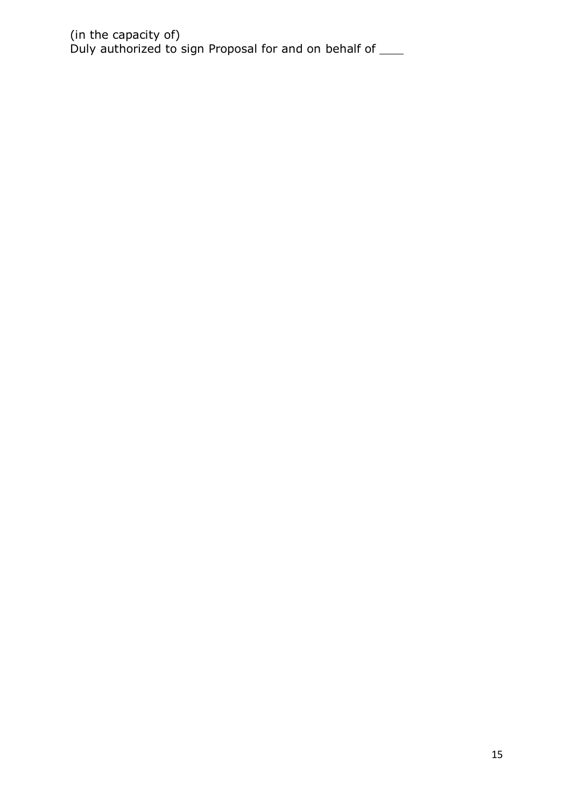(in the capacity of) Duly authorized to sign Proposal for and on behalf of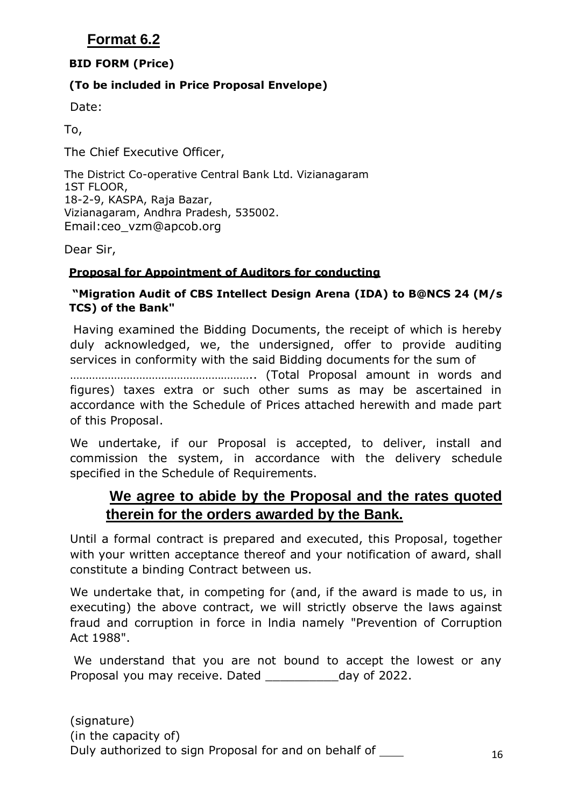### **Format 6.2**

### **BID FORM (Price)**

### **(To be included in Price Proposal Envelope)**

Date:

To,

The Chief Executive Officer,

The District Co-operative Central Bank Ltd. Vizianagaram 1ST FLOOR, 18-2-9, KASPA, Raja Bazar, Vizianagaram, Andhra Pradesh, 535002. [Email:ceo\\_vzm@apcob.org](mailto:dos@apcob.org)

Dear Sir,

### **Proposal for Appointment of Auditors for conducting**

#### **"Migration Audit of CBS Intellect Design Arena (IDA) to B@NCS 24 (M/s TCS) of the Bank"**

Having examined the Bidding Documents, the receipt of which is hereby duly acknowledged, we, the undersigned, offer to provide auditing services in conformity with the said Bidding documents for the sum of

………………………………………………….. (Total Proposal amount in words and figures) taxes extra or such other sums as may be ascertained in accordance with the Schedule of Prices attached herewith and made part of this Proposal.

We undertake, if our Proposal is accepted, to deliver, install and commission the system, in accordance with the delivery schedule specified in the Schedule of Requirements.

### **We agree to abide by the Proposal and the rates quoted therein for the orders awarded by the Bank.**

Until a formal contract is prepared and executed, this Proposal, together with your written acceptance thereof and your notification of award, shall constitute a binding Contract between us.

We undertake that, in competing for (and, if the award is made to us, in executing) the above contract, we will strictly observe the laws against fraud and corruption in force in lndia namely "Prevention of Corruption Act 1988".

We understand that you are not bound to accept the lowest or any Proposal you may receive. Dated \_\_\_\_\_\_\_\_\_\_\_\_\_day of 2022.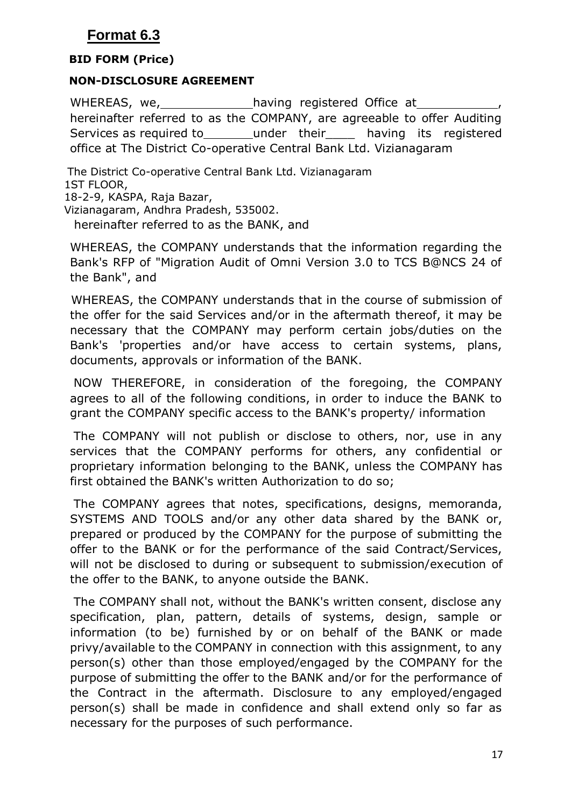### **Format 6.3**

#### **BID FORM (Price)**

#### **NON-DISCLOSURE AGREEMENT**

WHEREAS, we, having registered Office at hereinafter referred to as the COMPANY, are agreeable to offer Auditing Services as required to bunder their being its registered office at The District Co-operative Central Bank Ltd. Vizianagaram

The District Co-operative Central Bank Ltd. Vizianagaram 1ST FLOOR, 18-2-9, KASPA, Raja Bazar, Vizianagaram, Andhra Pradesh, 535002. hereinafter referred to as the BANK, and

WHEREAS, the COMPANY understands that the information regarding the Bank's RFP of "Migration Audit of Omni Version 3.0 to TCS B@NCS 24 of the Bank", and

WHEREAS, the COMPANY understands that in the course of submission of the offer for the said Services and/or in the aftermath thereof, it may be necessary that the COMPANY may perform certain jobs/duties on the Bank's 'properties and/or have access to certain systems, plans, documents, approvals or information of the BANK.

NOW THEREFORE, in consideration of the foregoing, the COMPANY agrees to all of the following conditions, in order to induce the BANK to grant the COMPANY specific access to the BANK's property/ information

The COMPANY will not publish or disclose to others, nor, use in any services that the COMPANY performs for others, any confidential or proprietary information belonging to the BANK, unless the COMPANY has first obtained the BANK's written Authorization to do so;

The COMPANY agrees that notes, specifications, designs, memoranda, SYSTEMS AND TOOLS and/or any other data shared by the BANK or, prepared or produced by the COMPANY for the purpose of submitting the offer to the BANK or for the performance of the said Contract/Services, will not be disclosed to during or subsequent to submission/execution of the offer to the BANK, to anyone outside the BANK.

The COMPANY shall not, without the BANK's written consent, disclose any specification, plan, pattern, details of systems, design, sample or information (to be) furnished by or on behalf of the BANK or made privy/available to the COMPANY in connection with this assignment, to any person(s) other than those employed/engaged by the COMPANY for the purpose of submitting the offer to the BANK and/or for the performance of the Contract in the aftermath. Disclosure to any employed/engaged person(s) shall be made in confidence and shall extend only so far as necessary for the purposes of such performance.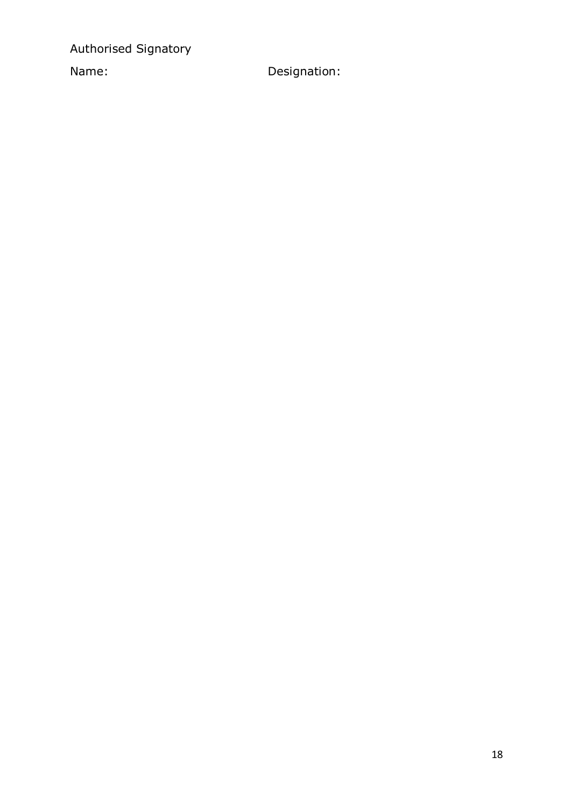Authorised Signatory

Name: Designation: